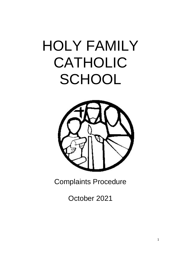# HOLY FAMILY CATHOLIC **SCHOOL**



Complaints Procedure

October 2021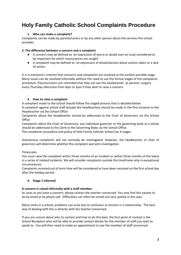# **Holy Family Catholic School Complaints Procedure**

# **1. Who can make a complaint?**

Complaints can be made by parents/carers or by any other person about the services the school provides.

## **2. The difference between a concern and a complaint**

- A concern may be defined as 'an expression of worry or doubt over an issue considered to be important for which reassurances are sought'
- A complaint may be defined as 'an expression of dissatisfaction about actions taken or a lack of action.

It is in everyone's interest that concerns and complaints are resolved at the earliest possible stage. Many issues can be resolved informally without the need to use the formal stages of the complaints procedure. Parents/carers are reminded that they can see the headteacher at parents' surgery every Thursday afternoon from 4pm to 5pm if they wish to raise a concern.

# **3. How to raise a complaint**

A complaint made to the school should follow the staged process that is detailed below. A complaint against school staff (except the headteacher) should be made in the first instance to the Headteacher via the School Office

Complaints about the Headteacher should be addressed to the Chair of Governors via the School **Office** 

Complaints about the Chair of Governors, any individual governor or the governing body as a whole should be addressed to the Clerk to the Governing Body via the School Office

The complaints procedure and policy of Holy Family Catholic School has 4 stages.

Anonymous complaints will not normally be investigated. However, the headteacher or chair of governors will determine whether the complaint warrants investigation

## Timescales

You must raise the complaint within three months of an incident or within three months of the latest in a series of related incidents. We will consider complaints outside this timeframe only in exceptional circumstances.

Complaints received out of term time will be considered to have been received on the first school day after the holiday period.

## **4. Stage 1 Informal**

## **A concern is raised informally with a staff member.**

As soon as you have a concern, please contact the teacher concerned. You may find this easiest to do by email or by phone call. Difficulties can often be sorted out very quickly in this way.

Many times in a school, problems can arise due to confusion or tension in a relationship. The best way of dealing with this is directly with the teacher concerned.

If you are unsure about who to contact and how to do this best, the first point of contact is the School Reception who will be able to provide contact details for the member of staff you wish to speak to. You will then need to make an appointment to see the member of staff concerned.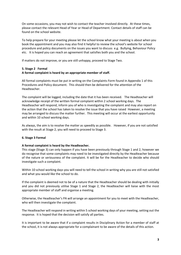On some occasions, you may not wish to contact the teacher involved directly. At these times, please contact the relevant Head of Year or Head of Department. Contact details of staff can be found on the school website.

To help prepare for your meeting please let the school know what your meeting is about when you book the appointment and you may also find it helpful to review the school's website for school procedure and policy documents on the issues you want to discuss e.g. Bullying, Behaviour Policy etc. It is hoped you can reach an agreement that satisfies both you and the school.

If matters do not improve, or you are still unhappy, proceed to Stage Two.

#### **5. Stage 2 Formal**

## **A formal complaint is heard by an appropriate member of staff.**

All formal complaints must be put in writing on the Complaints Form found in Appendix 1 of this Procedures and Policy document. This should then be delivered for the attention of the Headteacher.

The complaint will be logged, including the date that it has been received. The Headteacher will acknowledge receipt of the written formal complaint within 2 school working days. The Headteacher will respond, inform you of who is investigating the complaint and may also report on the action that the school has taken to resolve the issue that you have raised However, a meeting may be arranged to discuss the matter further. This meeting will occur at the earliest opportunity and within 10 school working days.

As always, the aim is to resolve the matter as speedily as possible. However, if you are not satisfied with the result at Stage 2, you will need to proceed to Stage 3.

#### **6. Stage 3 Formal**

#### **A formal complaint is heard by the Headteacher.**

This stage (Stage 3) can only happen if you have been previously through Stage 1 and 2, however we do recognise that some complaints may need to be investigated directly by the Headteacher because of the nature or seriousness of the complaint. It will be for the Headteacher to decide who should investigate such a complaint.

Within 10 school working days you will need to tell the school in writing why you are still not satisfied and what you would like the school to do.

If the complaint is deemed not to be of a nature that the Headteacher should be dealing with initially and you did not previously utilise Stage 1 and Stage 2, the Headteacher will liaise with the most appropriate member of staff and organise a meeting.

Otherwise, the Headteacher's PA will arrange an appointment for you to meet with the Headteacher, who will then investigate the complaint.

The Headteacher will respond in writing within 5 school working days of your meeting, setting out the response. It is hoped that the decision will satisfy all parties.

It is important to be aware that if a complaint results in Disciplinary Action for a member of staff at the school, it is not always appropriate for a complainant to be aware of the details of this action.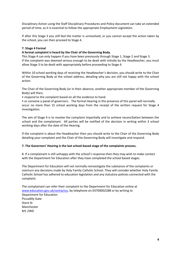Disciplinary Action using the Staff Disciplinary Procedures and Policy document can take an extended period of time, as it is essential to follow the appropriate Employment Legislation.

If after this Stage 3 you still feel the matter is unresolved, or you cannot accept the action taken by the school, you can then proceed to Stage 4.

#### **7. Stage 4 Formal**

#### **A formal complaint is heard by the Chair of the Governing Body.**

This Stage 4 can only happen if you have been previously through Stage 1, Stage 2 and Stage 3. If the complaint was deemed serious enough to be dealt with initially by the Headteacher, you must allow Stage 3 to be dealt with appropriately before proceeding to Stage 4.

Within 10 school working days of receiving the Headteacher's decision, you should write to the Chair of the Governing Body at the school address, detailing why you are still not happy with the school action.

The Chair of the Governing Body (or in their absence, another appropriate member of the Governing Body) will then;

• respond to the complaint based on all the evidence to hand.

• or convene a panel of governors. The formal Hearing in the presence of this panel will normally occur no more than 15 school working days from the receipt of the written request for Stage 4 investigation.

The aim of Stage 4 is to resolve the complaint impartially and to achieve reconciliation between the school and the complainant. All parties will be notified of the decision in writing within 3 school working days after the date of the Hearing.

If the complaint is about the Headteacher then you should write to the Chair of the Governing Body detailing your complaint and the Chair of the Governing Body will investigate and respond.

#### **7. The Governors' Hearing is the last school-based stage of the complaints process.**

8. If a complainant is still unhappy with the school's response then they may wish to make contact with the Department for Education after they have completed the school based stages.

The Department for Education will not normally reinvestigate the substance of the complaints or overturn any decisions made by Holy Family Catholic School. They will consider whether Holy Family Catholic School has adhered to education legislation and any statutory policies connected with the complaint.

The complainant can refer their complaint to the Department for Education online at [www.education.gov.uk/contactus,](http://www.education.gov.uk/contactus) by telephone on 03700002288 or by writing to Department for Education Piccadilly Gate Store St Manchester M1 2WD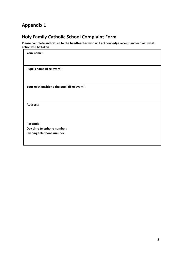# **Appendix 1**

# **Holy Family Catholic School Complaint Form**

**Please complete and return to the headteacher who will acknowledge receipt and explain what action will be taken.**

| Your name:                                                     |
|----------------------------------------------------------------|
| Pupil's name (if relevant):                                    |
| Your relationship to the pupil (if relevant):                  |
| <b>Address:</b>                                                |
| Postcode:                                                      |
| Day time telephone number:<br><b>Evening telephone number:</b> |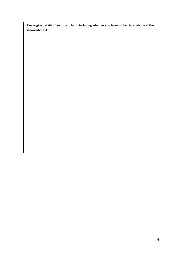**Please give details of your complaint, including whether you have spoken to anybody at the school about it.**